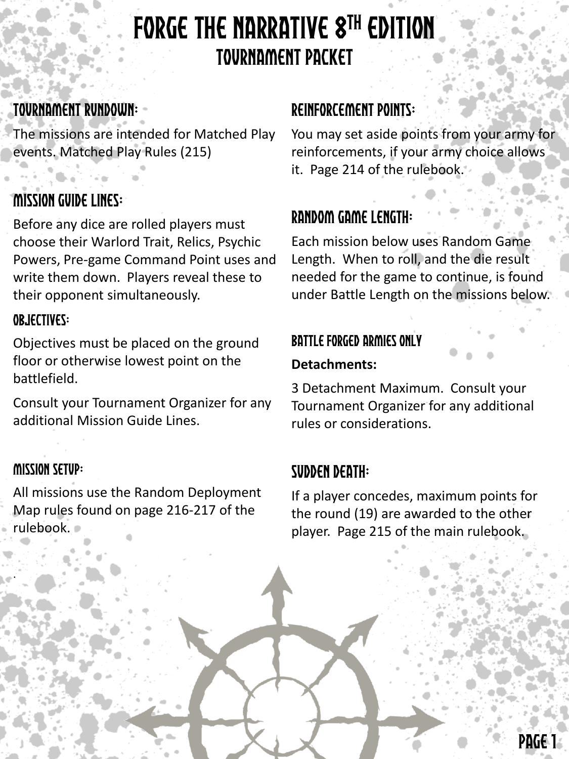# FORGE THE NARRATIVE 8TH EDITION TOURNAMENT PACKET

### TOURNAMENT RUNDOWN:

The missions are intended for Matched Play events. Matched Play Rules (215)

### Mission Guide Lines:

Before any dice are rolled players must choose their Warlord Trait, Relics, Psychic Powers, Pre-game Command Point uses and write them down. Players reveal these to their opponent simultaneously.

### OBJECTIVES:

Objectives must be placed on the ground floor or otherwise lowest point on the battlefield.

Consult your Tournament Organizer for any additional Mission Guide Lines.

### Mission Setup:

.

All missions use the Random Deployment Map rules found on page 216-217 of the rulebook.

### Reinforcement Points:

You may set aside points from your army for reinforcements, if your army choice allows it. Page 214 of the rulebook.

### Random Game Length:

Each mission below uses Random Game Length. When to roll, and the die result needed for the game to continue, is found under Battle Length on the missions below.

### Battle Forged Armies only

### **Detachments:**

3 Detachment Maximum. Consult your Tournament Organizer for any additional rules or considerations.

### Sudden Death:

If a player concedes, maximum points for the round (19) are awarded to the other player. Page 215 of the main rulebook.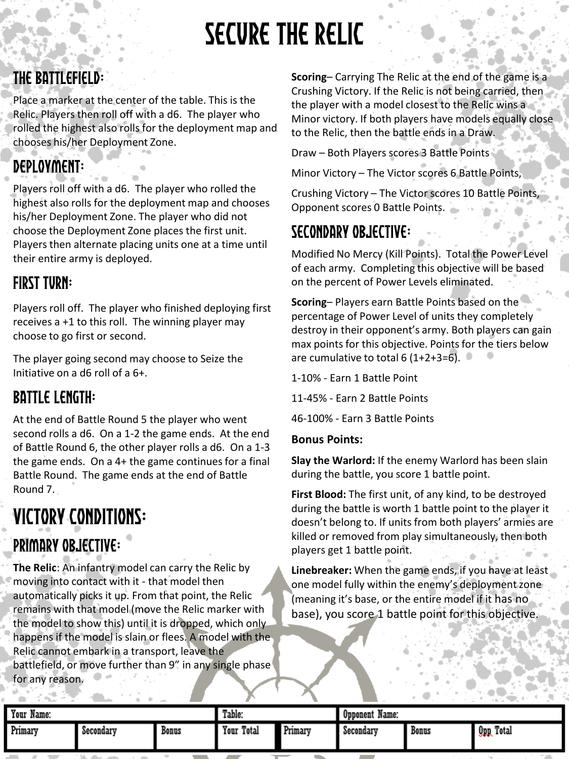# Secure the RElic

## The Battlefield:

Place a marker at the center of the table. This is the Relic. Players then roll off with a d6. The player who rolled the highest also rolls for the deployment map and chooses his/her Deployment Zone.

## Deployment:

Players roll off with a d6. The player who rolled the highest also rolls for the deployment map and chooses his/her Deployment Zone. The player who did not choose the Deployment Zone places the first unit. Players then alternate placing units one at a time until their entire army is deployed.

### **FIRST TURN:**

Players roll off. The player who finished deploying first receives a +1 to this roll. The winning player may choose to go first or second.

The player going second may choose to Seize the Initiative on a d6 roll of a 6+.

### Battle Length:

At the end of Battle Round 5 the player who went second rolls a d6. On a 1-2 the game ends. At the end of Battle Round 6, the other player rolls a d6. On a 1-3 the game ends. On a 4+ the game continues for a final Battle Round. The game ends at the end of Battle Round 7.

# Victory Conditions: PRIMARY OBJECTIVE:

**The Relic**: An infantry model can carry the Relic by moving into contact with it - that model then automatically picks it up. From that point, the Relic remains with that model (move the Relic marker with the model to show this) until it is dropped, which only happens if the model is slain or flees. A model with the Relic cannot embark in a transport, leave the battlefield, or move further than 9" in any single phase for any reason.

**Scoring**– Carrying The Relic at the end of the game is a Crushing Victory. If the Relic is not being carried, then the player with a model closest to the Relic wins a Minor victory. If both players have models equally close to the Relic, then the battle ends in a Draw.

Draw – Both Players scores 3 Battle Points

Minor Victory – The Victor scores 6 Battle Points,

Crushing Victory – The Victor scores 10 Battle Points, Opponent scores 0 Battle Points.

### Secondary Objective:

Modified No Mercy (Kill Points). Total the Power Level of each army. Completing this objective will be based on the percent of Power Levels eliminated.

**Scoring**– Players earn Battle Points based on the percentage of Power Level of units they completely destroy in their opponent's army. Both players can gain max points for this objective. Points for the tiers below are cumulative to total 6 (1+2+3=6).

1-10% - Earn 1 Battle Point

11-45% - Earn 2 Battle Points

46-100% - Earn 3 Battle Points

#### **Bonus Points:**

**Slay the Warlord:** If the enemy Warlord has been slain during the battle, you score 1 battle point.

**First Blood:** The first unit, of any kind, to be destroyed during the battle is worth 1 battle point to the player it doesn't belong to. If units from both players' armies are killed or removed from play simultaneously, then both players get 1 battle point.

| Your.<br>Name:                                          |                                                                                 |                     | Table:        |         | Name:<br>Opponent |       |                                     |
|---------------------------------------------------------|---------------------------------------------------------------------------------|---------------------|---------------|---------|-------------------|-------|-------------------------------------|
| Primary                                                 | Secondary                                                                       | Bonus               | Total<br>Your | Primary | Secondary         | Bonus | Total<br>$0$ pp                     |
| ____<br>the contract of the contract of the contract of | the contract of the contract of the contract of the contract of the contract of | and the property of |               |         |                   |       | the contract of the contract of the |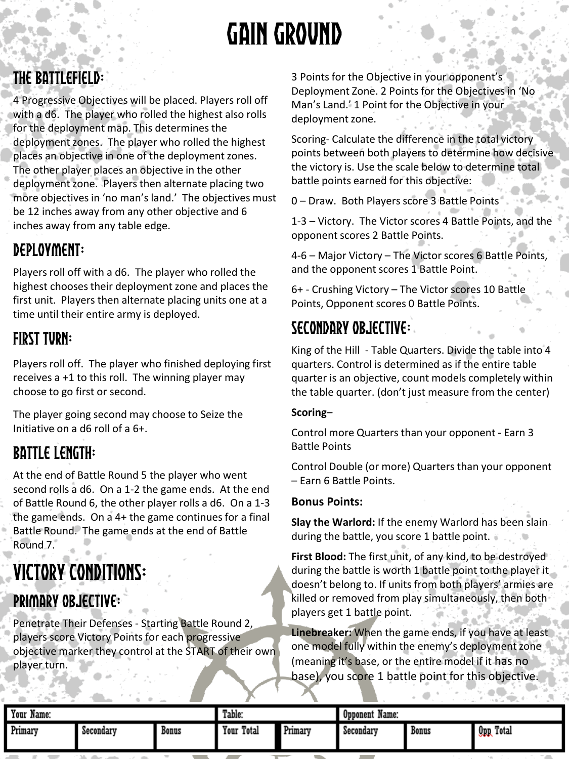# Gain Ground

### The Battlefield:

4 Progressive Objectives will be placed. Players roll off with a d6. The player who rolled the highest also rolls for the deployment map. This determines the deployment zones. The player who rolled the highest places an objective in one of the deployment zones. The other player places an objective in the other deployment zone. Players then alternate placing two more objectives in 'no man's land.' The objectives must be 12 inches away from any other objective and 6 inches away from any table edge.

### Deployment:

Players roll off with a d6. The player who rolled the highest chooses their deployment zone and places the first unit. Players then alternate placing units one at a time until their entire army is deployed.

### First Turn:

Players roll off. The player who finished deploying first receives a +1 to this roll. The winning player may choose to go first or second.

The player going second may choose to Seize the Initiative on a d6 roll of a 6+.

### Battle Length:

At the end of Battle Round 5 the player who went second rolls a d6. On a 1-2 the game ends. At the end of Battle Round 6, the other player rolls a d6. On a 1-3 the game ends. On a 4+ the game continues for a final Battle Round. The game ends at the end of Battle Round 7.

# Victory Conditions:

### PRIMARY OBJECTIVE:

Penetrate Their Defenses - Starting Battle Round 2, players score Victory Points for each progressive objective marker they control at the START of their own player turn.

3 Points for the Objective in your opponent's Deployment Zone. 2 Points for the Objectives in 'No Man's Land.' 1 Point for the Objective in your deployment zone.

Scoring- Calculate the difference in the total victory points between both players to determine how decisive the victory is. Use the scale below to determine total battle points earned for this objective:

0 – Draw. Both Players score 3 Battle Points

1-3 – Victory. The Victor scores 4 Battle Points, and the opponent scores 2 Battle Points.

4-6 – Major Victory – The Victor scores 6 Battle Points, and the opponent scores 1 Battle Point.

6+ - Crushing Victory – The Victor scores 10 Battle Points, Opponent scores 0 Battle Points.

### Secondary Objective:

King of the Hill - Table Quarters. Divide the table into 4 quarters. Control is determined as if the entire table quarter is an objective, count models completely within the table quarter. (don't just measure from the center)

#### **Scoring**–

Control more Quarters than your opponent - Earn 3 Battle Points

Control Double (or more) Quarters than your opponent – Earn 6 Battle Points.

#### **Bonus Points:**

**Slay the Warlord:** If the enemy Warlord has been slain during the battle, you score 1 battle point.

**First Blood:** The first unit, of any kind, to be destroyed during the battle is worth 1 battle point to the player it doesn't belong to. If units from both players' armies are killed or removed from play simultaneously, then both players get 1 battle point.

| Your.<br>Name: |                                                                             |       | Table:        |                                 | Name:<br><b>Opponent</b> |       |                               |
|----------------|-----------------------------------------------------------------------------|-------|---------------|---------------------------------|--------------------------|-------|-------------------------------|
| Primary        | Secondary                                                                   | Bonus | Total<br>Your | $\ddot{\phantom{1}}$<br>Primary | Secondary                | Bonus | Total<br>$0$ pp               |
| $\sim$         | and the company of the company of<br>the control of the control of the con- |       |               |                                 |                          |       | $ -$<br>the state of the con- |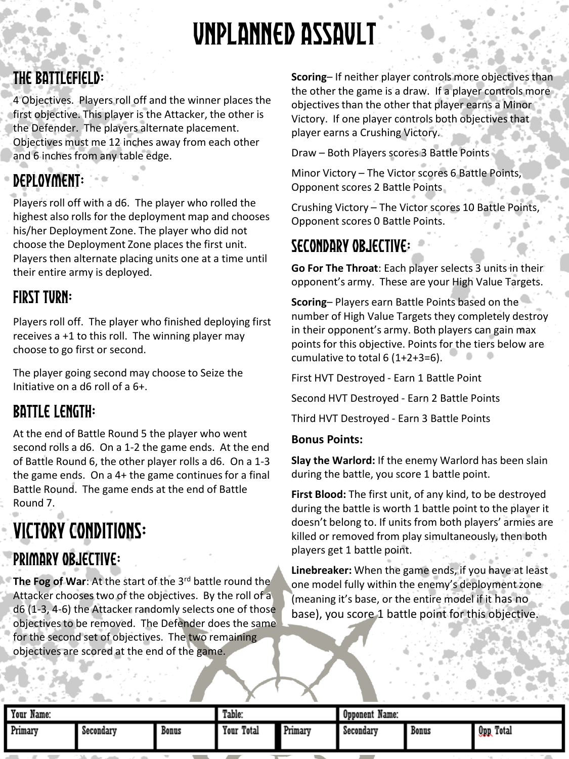# Unplanned Assault

### The Battlefield:

4 Objectives. Players roll off and the winner places the first objective. This player is the Attacker, the other is the Defender. The players alternate placement. Objectives must me 12 inches away from each other and 6 inches from any table edge.

## Deployment:

Players roll off with a d6. The player who rolled the highest also rolls for the deployment map and chooses his/her Deployment Zone. The player who did not choose the Deployment Zone places the first unit. Players then alternate placing units one at a time until their entire army is deployed.

### First Turn:

Players roll off. The player who finished deploying first receives a +1 to this roll. The winning player may choose to go first or second.

The player going second may choose to Seize the Initiative on a d6 roll of a 6+.

### Battle Length:

At the end of Battle Round 5 the player who went second rolls a d6. On a 1-2 the game ends. At the end of Battle Round 6, the other player rolls a d6. On a 1-3 the game ends. On a 4+ the game continues for a final Battle Round. The game ends at the end of Battle Round 7.

## Victory Conditions: PRIMARY OBJECTIVE:

**The Fog of War**: At the start of the 3<sup>rd</sup> battle round the Attacker chooses two of the objectives. By the roll of a d6 (1-3, 4-6) the Attacker randomly selects one of those objectives to be removed. The Defender does the same for the second set of objectives. The two remaining objectives are scored at the end of the game.

**Scoring**– If neither player controls more objectives than the other the game is a draw. If a player controls more objectives than the other that player earns a Minor Victory. If one player controls both objectives that player earns a Crushing Victory.

Draw – Both Players scores 3 Battle Points

Minor Victory – The Victor scores 6 Battle Points, Opponent scores 2 Battle Points

Crushing Victory – The Victor scores 10 Battle Points, Opponent scores 0 Battle Points.

### Secondary Objective:

**Go For The Throat**: Each player selects 3 units in their opponent's army. These are your High Value Targets.

**Scoring**– Players earn Battle Points based on the number of High Value Targets they completely destroy in their opponent's army. Both players can gain max points for this objective. Points for the tiers below are cumulative to total 6 (1+2+3=6).

First HVT Destroyed - Earn 1 Battle Point

Second HVT Destroyed - Earn 2 Battle Points

Third HVT Destroyed - Earn 3 Battle Points

#### **Bonus Points:**

**Slay the Warlord:** If the enemy Warlord has been slain during the battle, you score 1 battle point.

**First Blood:** The first unit, of any kind, to be destroyed during the battle is worth 1 battle point to the player it doesn't belong to. If units from both players' armies are killed or removed from play simultaneously, then both players get 1 battle point.

| Total<br>Total<br>Primary<br>Your<br>Primary<br><b>Qpp</b><br>Bonus<br>Bonus<br>Secondary<br>Secondary | Your<br>$\overline{\phantom{a}}$<br>Name: |  |  | Table: |  | Name:<br>Opponent |  |  |
|--------------------------------------------------------------------------------------------------------|-------------------------------------------|--|--|--------|--|-------------------|--|--|
|                                                                                                        |                                           |  |  |        |  |                   |  |  |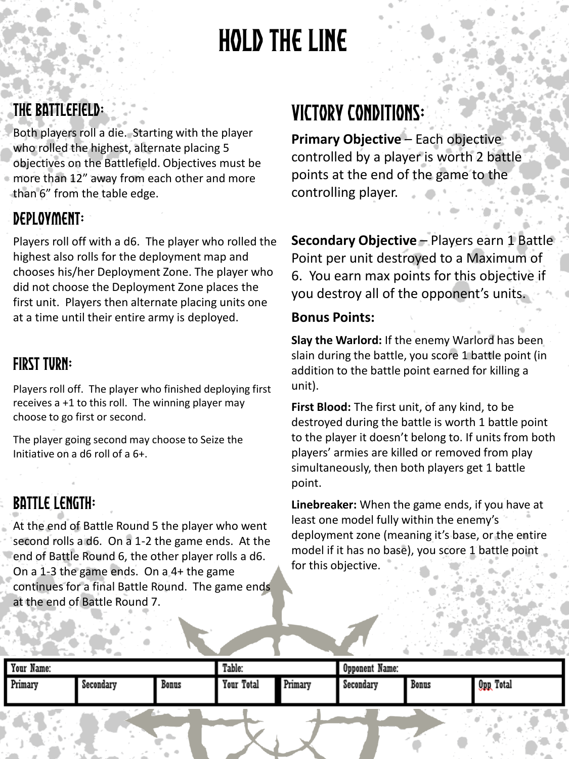# Hold the Line

### The Battlefield:

Both players roll a die. Starting with the player who rolled the highest, alternate placing 5 objectives on the Battlefield. Objectives must be more than 12" away from each other and more than 6" from the table edge.

### Deployment:

Players roll off with a d6. The player who rolled the highest also rolls for the deployment map and chooses his/her Deployment Zone. The player who did not choose the Deployment Zone places the first unit. Players then alternate placing units one at a time until their entire army is deployed.

### First Turn:

Players roll off. The player who finished deploying first receives a +1 to this roll. The winning player may choose to go first or second.

The player going second may choose to Seize the Initiative on a d6 roll of a 6+.

### Battle Length:

At the end of Battle Round 5 the player who went second rolls a d6. On a 1-2 the game ends. At the end of Battle Round 6, the other player rolls a d6. On a 1-3 the game ends. On a 4+ the game continues for a final Battle Round. The game ends at the end of Battle Round 7.

## Victory Conditions:

**Primary Objective** – Each objective controlled by a player is worth 2 battle points at the end of the game to the controlling player.

**Secondary Objective** – Players earn 1 Battle Point per unit destroyed to a Maximum of 6. You earn max points for this objective if you destroy all of the opponent's units.

### **Bonus Points:**

**Slay the Warlord:** If the enemy Warlord has been slain during the battle, you score 1 battle point (in addition to the battle point earned for killing a unit).

**First Blood:** The first unit, of any kind, to be destroyed during the battle is worth 1 battle point to the player it doesn't belong to. If units from both players' armies are killed or removed from play simultaneously, then both players get 1 battle point.

| Your Name:                           |           |       | Table:     |         | Opponent Name: |                                    |                          |
|--------------------------------------|-----------|-------|------------|---------|----------------|------------------------------------|--------------------------|
| Primary                              | Secondary | Bonus | Your Total | Primary | Secondary      | Bonus                              | Total<br>0 <sub>PP</sub> |
| x<br>the state of the country of the |           |       |            |         | <b>Texas</b>   | <b>ALC: YES</b><br><b>START OF</b> |                          |